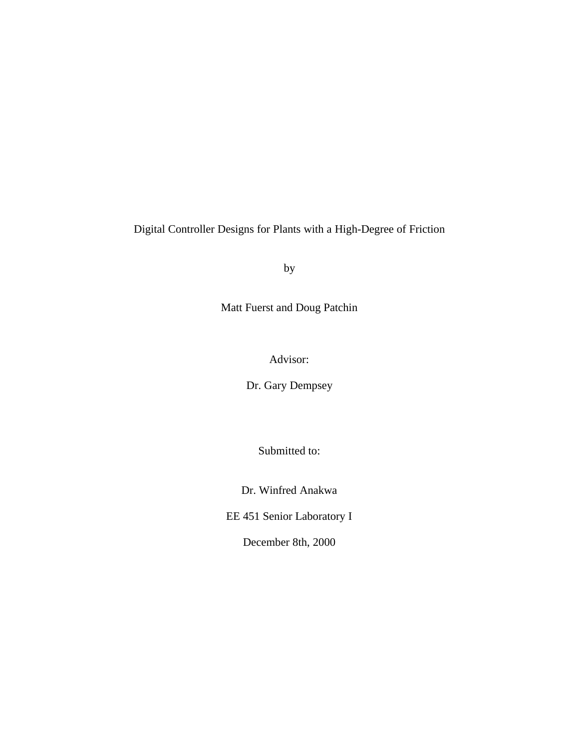Digital Controller Designs for Plants with a High-Degree of Friction

by

Matt Fuerst and Doug Patchin

Advisor:

Dr. Gary Dempsey

Submitted to:

Dr. Winfred Anakwa

EE 451 Senior Laboratory I

December 8th, 2000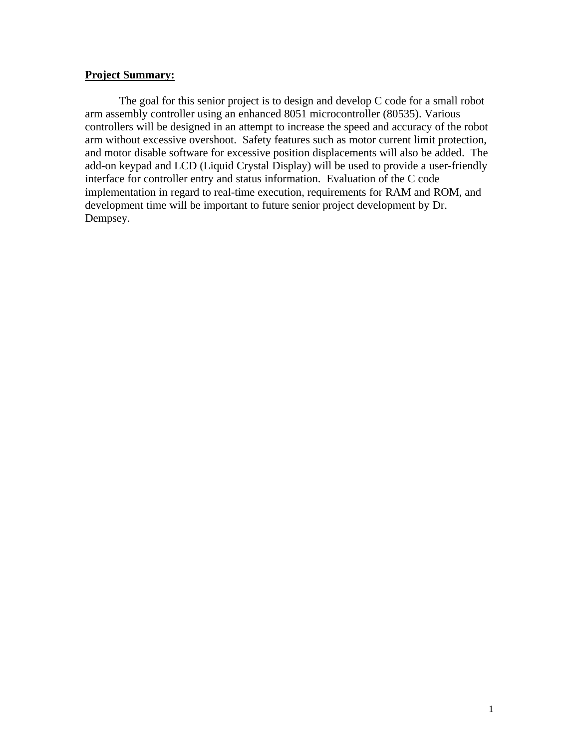## **Project Summary:**

The goal for this senior project is to design and develop C code for a small robot arm assembly controller using an enhanced 8051 microcontroller (80535). Various controllers will be designed in an attempt to increase the speed and accuracy of the robot arm without excessive overshoot. Safety features such as motor current limit protection, and motor disable software for excessive position displacements will also be added. The add-on keypad and LCD (Liquid Crystal Display) will be used to provide a user-friendly interface for controller entry and status information. Evaluation of the C code implementation in regard to real-time execution, requirements for RAM and ROM, and development time will be important to future senior project development by Dr. Dempsey.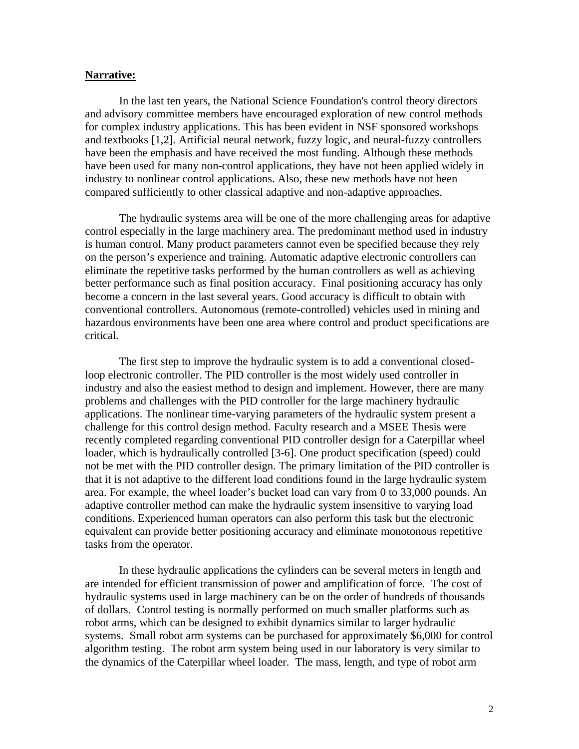## **Narrative:**

In the last ten years, the National Science Foundation's control theory directors and advisory committee members have encouraged exploration of new control methods for complex industry applications. This has been evident in NSF sponsored workshops and textbooks [1,2]. Artificial neural network, fuzzy logic, and neural-fuzzy controllers have been the emphasis and have received the most funding. Although these methods have been used for many non-control applications, they have not been applied widely in industry to nonlinear control applications. Also, these new methods have not been compared sufficiently to other classical adaptive and non-adaptive approaches.

The hydraulic systems area will be one of the more challenging areas for adaptive control especially in the large machinery area. The predominant method used in industry is human control. Many product parameters cannot even be specified because they rely on the person's experience and training. Automatic adaptive electronic controllers can eliminate the repetitive tasks performed by the human controllers as well as achieving better performance such as final position accuracy. Final positioning accuracy has only become a concern in the last several years. Good accuracy is difficult to obtain with conventional controllers. Autonomous (remote-controlled) vehicles used in mining and hazardous environments have been one area where control and product specifications are critical.

The first step to improve the hydraulic system is to add a conventional closedloop electronic controller. The PID controller is the most widely used controller in industry and also the easiest method to design and implement. However, there are many problems and challenges with the PID controller for the large machinery hydraulic applications. The nonlinear time-varying parameters of the hydraulic system present a challenge for this control design method. Faculty research and a MSEE Thesis were recently completed regarding conventional PID controller design for a Caterpillar wheel loader, which is hydraulically controlled [3-6]. One product specification (speed) could not be met with the PID controller design. The primary limitation of the PID controller is that it is not adaptive to the different load conditions found in the large hydraulic system area. For example, the wheel loader's bucket load can vary from 0 to 33,000 pounds. An adaptive controller method can make the hydraulic system insensitive to varying load conditions. Experienced human operators can also perform this task but the electronic equivalent can provide better positioning accuracy and eliminate monotonous repetitive tasks from the operator.

In these hydraulic applications the cylinders can be several meters in length and are intended for efficient transmission of power and amplification of force. The cost of hydraulic systems used in large machinery can be on the order of hundreds of thousands of dollars. Control testing is normally performed on much smaller platforms such as robot arms, which can be designed to exhibit dynamics similar to larger hydraulic systems. Small robot arm systems can be purchased for approximately \$6,000 for control algorithm testing. The robot arm system being used in our laboratory is very similar to the dynamics of the Caterpillar wheel loader. The mass, length, and type of robot arm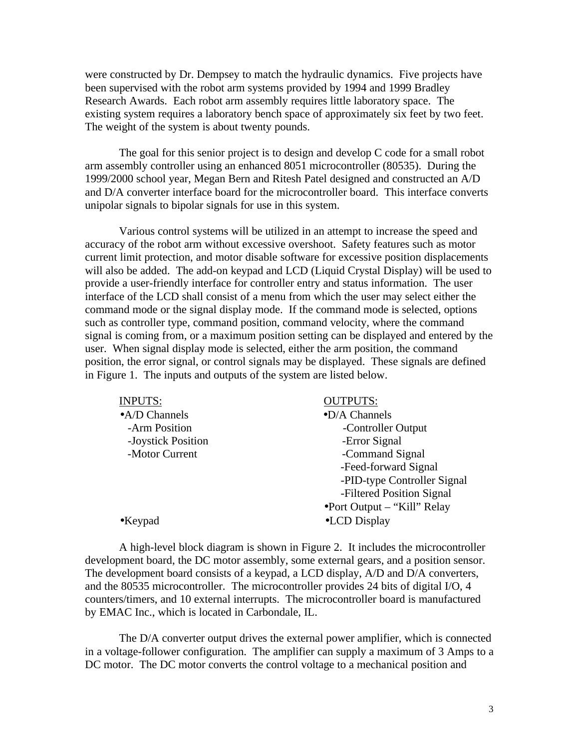were constructed by Dr. Dempsey to match the hydraulic dynamics. Five projects have been supervised with the robot arm systems provided by 1994 and 1999 Bradley Research Awards. Each robot arm assembly requires little laboratory space. The existing system requires a laboratory bench space of approximately six feet by two feet. The weight of the system is about twenty pounds.

The goal for this senior project is to design and develop C code for a small robot arm assembly controller using an enhanced 8051 microcontroller (80535). During the 1999/2000 school year, Megan Bern and Ritesh Patel designed and constructed an A/D and D/A converter interface board for the microcontroller board. This interface converts unipolar signals to bipolar signals for use in this system.

Various control systems will be utilized in an attempt to increase the speed and accuracy of the robot arm without excessive overshoot. Safety features such as motor current limit protection, and motor disable software for excessive position displacements will also be added. The add-on keypad and LCD (Liquid Crystal Display) will be used to provide a user-friendly interface for controller entry and status information. The user interface of the LCD shall consist of a menu from which the user may select either the command mode or the signal display mode. If the command mode is selected, options such as controller type, command position, command velocity, where the command signal is coming from, or a maximum position setting can be displayed and entered by the user. When signal display mode is selected, either the arm position, the command position, the error signal, or control signals may be displayed. These signals are defined in Figure 1. The inputs and outputs of the system are listed below.

| <b>INPUTS:</b>         | <b>OUTPUTS:</b>                      |
|------------------------|--------------------------------------|
| $\bullet$ A/D Channels | $\bullet$ D/A Channels               |
| -Arm Position          | -Controller Output                   |
| -Joystick Position     | -Error Signal                        |
| -Motor Current         | -Command Signal                      |
|                        | -Feed-forward Signal                 |
|                        | -PID-type Controller Signal          |
|                        | -Filtered Position Signal            |
|                        | $\bullet$ Port Output – "Kill" Relay |
| $\bullet$ Keypad       | •LCD Display                         |

A high-level block diagram is shown in Figure 2. It includes the microcontroller development board, the DC motor assembly, some external gears, and a position sensor. The development board consists of a keypad, a LCD display, A/D and D/A converters, and the 80535 microcontroller. The microcontroller provides 24 bits of digital I/O, 4 counters/timers, and 10 external interrupts. The microcontroller board is manufactured by EMAC Inc., which is located in Carbondale, IL.

The D/A converter output drives the external power amplifier, which is connected in a voltage-follower configuration. The amplifier can supply a maximum of 3 Amps to a DC motor. The DC motor converts the control voltage to a mechanical position and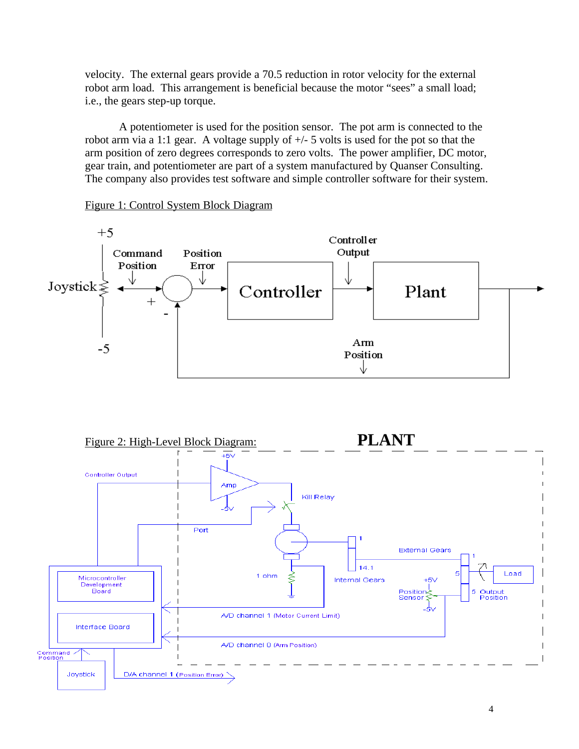velocity. The external gears provide a 70.5 reduction in rotor velocity for the external robot arm load. This arrangement is beneficial because the motor "sees" a small load; i.e., the gears step-up torque.

A potentiometer is used for the position sensor. The pot arm is connected to the robot arm via a 1:1 gear. A voltage supply of +/- 5 volts is used for the pot so that the arm position of zero degrees corresponds to zero volts. The power amplifier, DC motor, gear train, and potentiometer are part of a system manufactured by Quanser Consulting. The company also provides test software and simple controller software for their system.



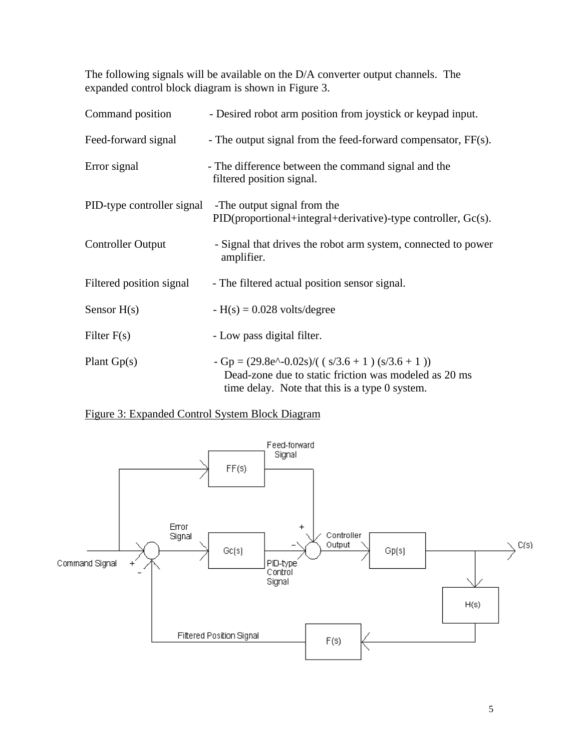The following signals will be available on the D/A converter output channels. The expanded control block diagram is shown in Figure 3.

| Command position         | - Desired robot arm position from joystick or keypad input.                                                                                                             |
|--------------------------|-------------------------------------------------------------------------------------------------------------------------------------------------------------------------|
| Feed-forward signal      | - The output signal from the feed-forward compensator, FF(s).                                                                                                           |
| Error signal             | - The difference between the command signal and the<br>filtered position signal.                                                                                        |
|                          | PID-type controller signal -The output signal from the<br>$PID (proportional + integral + derivative)$ -type controller, $Gc(s)$ .                                      |
| <b>Controller Output</b> | - Signal that drives the robot arm system, connected to power<br>amplifier.                                                                                             |
| Filtered position signal | - The filtered actual position sensor signal.                                                                                                                           |
| Sensor $H(s)$            | $-H(s) = 0.028$ volts/degree                                                                                                                                            |
| Filter $F(s)$            | - Low pass digital filter.                                                                                                                                              |
| Plant $Gp(s)$            | $-Gp = (29.8e^{\wedge} - 0.02s) / ((s/3.6 + 1) (s/3.6 + 1))$<br>Dead-zone due to static friction was modeled as 20 ms<br>time delay. Note that this is a type 0 system. |

# Figure 3: Expanded Control System Block Diagram

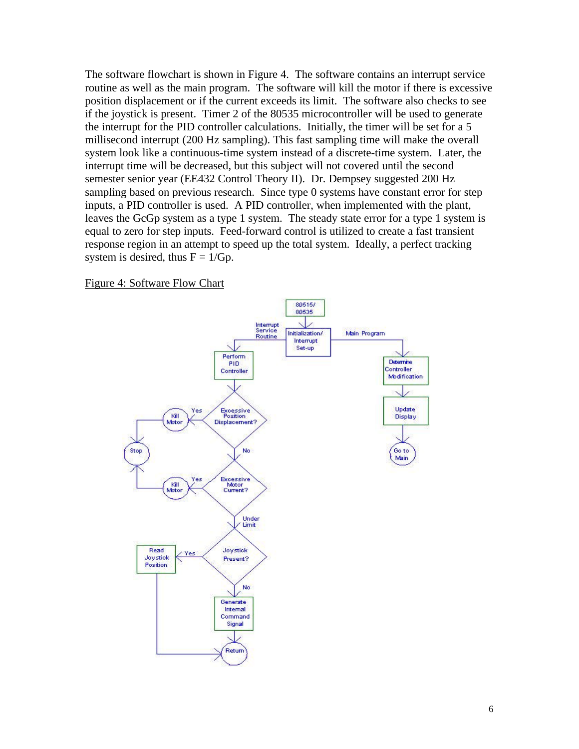The software flowchart is shown in Figure 4. The software contains an interrupt service routine as well as the main program. The software will kill the motor if there is excessive position displacement or if the current exceeds its limit. The software also checks to see if the joystick is present. Timer 2 of the 80535 microcontroller will be used to generate the interrupt for the PID controller calculations. Initially, the timer will be set for a 5 millisecond interrupt (200 Hz sampling). This fast sampling time will make the overall system look like a continuous-time system instead of a discrete-time system. Later, the interrupt time will be decreased, but this subject will not covered until the second semester senior year (EE432 Control Theory II). Dr. Dempsey suggested 200 Hz sampling based on previous research. Since type 0 systems have constant error for step inputs, a PID controller is used. A PID controller, when implemented with the plant, leaves the GcGp system as a type 1 system. The steady state error for a type 1 system is equal to zero for step inputs. Feed-forward control is utilized to create a fast transient response region in an attempt to speed up the total system. Ideally, a perfect tracking system is desired, thus  $F = 1/Gp$ .

Figure 4: Software Flow Chart

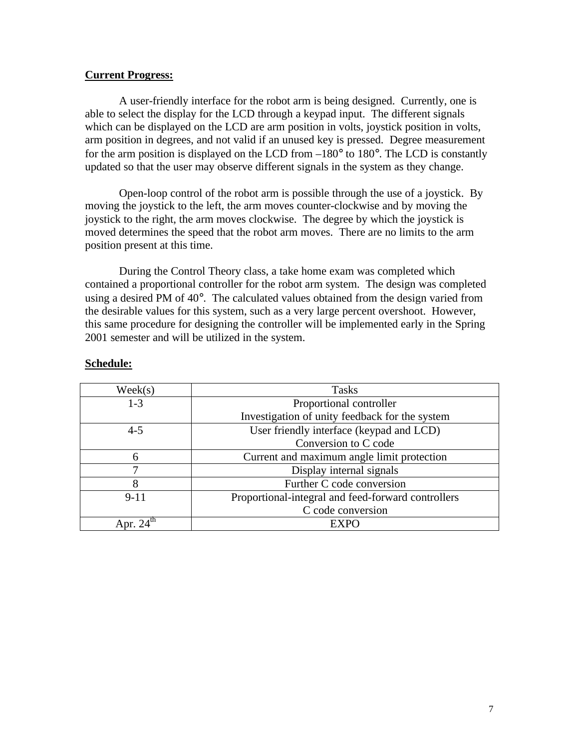## **Current Progress:**

A user-friendly interface for the robot arm is being designed. Currently, one is able to select the display for the LCD through a keypad input. The different signals which can be displayed on the LCD are arm position in volts, joystick position in volts, arm position in degrees, and not valid if an unused key is pressed. Degree measurement for the arm position is displayed on the LCD from  $-180^\circ$  to  $180^\circ$ . The LCD is constantly updated so that the user may observe different signals in the system as they change.

Open-loop control of the robot arm is possible through the use of a joystick. By moving the joystick to the left, the arm moves counter-clockwise and by moving the joystick to the right, the arm moves clockwise. The degree by which the joystick is moved determines the speed that the robot arm moves. There are no limits to the arm position present at this time.

During the Control Theory class, a take home exam was completed which contained a proportional controller for the robot arm system. The design was completed using a desired PM of 40°. The calculated values obtained from the design varied from the desirable values for this system, such as a very large percent overshoot. However, this same procedure for designing the controller will be implemented early in the Spring 2001 semester and will be utilized in the system.

| Week(s)  | <b>Tasks</b>                                       |
|----------|----------------------------------------------------|
| $1 - 3$  | Proportional controller                            |
|          | Investigation of unity feedback for the system     |
| $4 - 5$  | User friendly interface (keypad and LCD)           |
|          | Conversion to C code                               |
| 6        | Current and maximum angle limit protection         |
|          | Display internal signals                           |
| 8        | Further C code conversion                          |
| $9 - 11$ | Proportional-integral and feed-forward controllers |
|          | C code conversion                                  |
|          | EXPO                                               |

### **Schedule:**